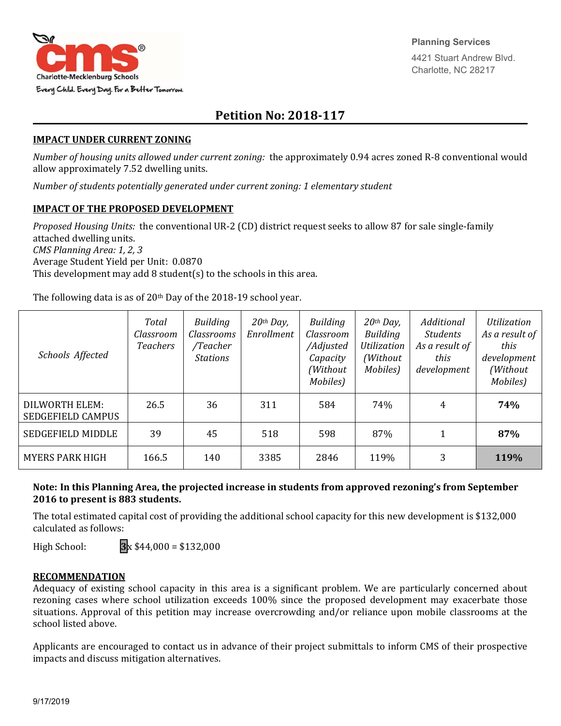

# **Petition No: 2018‐117**

#### **IMPACT UNDER CURRENT ZONING**

*Number of housing units allowed under current zoning:* the approximately 0.94 acres zoned R-8 conventional would allow approximately 7.52 dwelling units.

*Number of students potentially generated under current zoning: 1 elementary student*

### **IMPACT OF THE PROPOSED DEVELOPMENT**

*Proposed Housing Units:* the conventional UR-2 (CD) district request seeks to allow 87 for sale single-family attached dwelling units. *CMS Planning Area: 1, 2, 3* Average Student Yield per Unit: 0.0870 This development may add 8 student(s) to the schools in this area.

The following data is as of 20<sup>th</sup> Day of the 2018-19 school year.

| Schools Affected                           | Total<br>Classroom<br><b>Teachers</b> | <b>Building</b><br>Classrooms<br>/Teacher<br><b>Stations</b> | $20th$ Day,<br>Enrollment | Building<br>Classroom<br>/Adjusted<br>Capacity<br>(Without<br>Mobiles) | $20th$ Day,<br><b>Building</b><br>Utilization<br>(Without)<br>Mobiles) | Additional<br><b>Students</b><br>As a result of<br>this<br>development | Utilization<br>As a result of<br>this<br>development<br>(Without<br>Mobiles) |
|--------------------------------------------|---------------------------------------|--------------------------------------------------------------|---------------------------|------------------------------------------------------------------------|------------------------------------------------------------------------|------------------------------------------------------------------------|------------------------------------------------------------------------------|
| DILWORTH ELEM:<br><b>SEDGEFIELD CAMPUS</b> | 26.5                                  | 36                                                           | 311                       | 584                                                                    | 74%                                                                    | 4                                                                      | 74%                                                                          |
| SEDGEFIELD MIDDLE                          | 39                                    | 45                                                           | 518                       | 598                                                                    | 87%                                                                    |                                                                        | 87%                                                                          |
| <b>MYERS PARK HIGH</b>                     | 166.5                                 | 140                                                          | 3385                      | 2846                                                                   | 119%                                                                   | 3                                                                      | 119%                                                                         |

## **Note: In this Planning Area, the projected increase in students from approved rezoning's from September 2016 to present is 883 students.**

The total estimated capital cost of providing the additional school capacity for this new development is \$132,000 calculated as follows:

High School: **3**x \$44,000 = \$132,000

#### **RECOMMENDATION**

Adequacy of existing school capacity in this area is a significant problem. We are particularly concerned about rezoning cases where school utilization exceeds 100% since the proposed development may exacerbate those situations. Approval of this petition may increase overcrowding and/or reliance upon mobile classrooms at the school listed above.

Applicants are encouraged to contact us in advance of their project submittals to inform CMS of their prospective impacts and discuss mitigation alternatives.